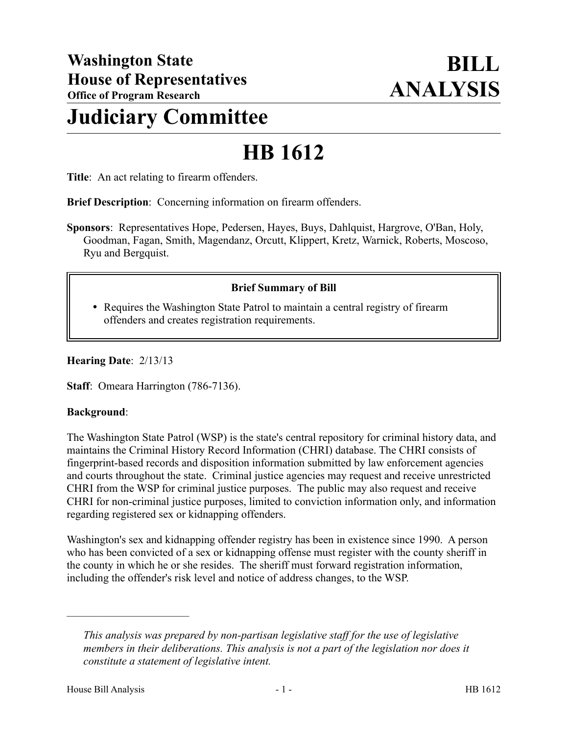# **Judiciary Committee**

# **HB 1612**

**Title**: An act relating to firearm offenders.

**Brief Description**: Concerning information on firearm offenders.

**Sponsors**: Representatives Hope, Pedersen, Hayes, Buys, Dahlquist, Hargrove, O'Ban, Holy, Goodman, Fagan, Smith, Magendanz, Orcutt, Klippert, Kretz, Warnick, Roberts, Moscoso, Ryu and Bergquist.

# **Brief Summary of Bill**

• Requires the Washington State Patrol to maintain a central registry of firearm offenders and creates registration requirements.

#### **Hearing Date**: 2/13/13

**Staff**: Omeara Harrington (786-7136).

#### **Background**:

The Washington State Patrol (WSP) is the state's central repository for criminal history data, and maintains the Criminal History Record Information (CHRI) database. The CHRI consists of fingerprint-based records and disposition information submitted by law enforcement agencies and courts throughout the state. Criminal justice agencies may request and receive unrestricted CHRI from the WSP for criminal justice purposes. The public may also request and receive CHRI for non-criminal justice purposes, limited to conviction information only, and information regarding registered sex or kidnapping offenders.

Washington's sex and kidnapping offender registry has been in existence since 1990. A person who has been convicted of a sex or kidnapping offense must register with the county sheriff in the county in which he or she resides. The sheriff must forward registration information, including the offender's risk level and notice of address changes, to the WSP.

––––––––––––––––––––––

*This analysis was prepared by non-partisan legislative staff for the use of legislative members in their deliberations. This analysis is not a part of the legislation nor does it constitute a statement of legislative intent.*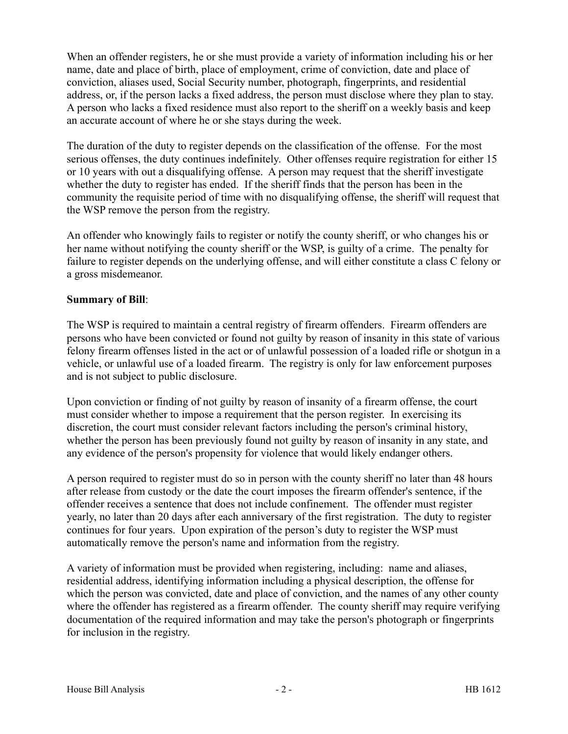When an offender registers, he or she must provide a variety of information including his or her name, date and place of birth, place of employment, crime of conviction, date and place of conviction, aliases used, Social Security number, photograph, fingerprints, and residential address, or, if the person lacks a fixed address, the person must disclose where they plan to stay. A person who lacks a fixed residence must also report to the sheriff on a weekly basis and keep an accurate account of where he or she stays during the week.

The duration of the duty to register depends on the classification of the offense. For the most serious offenses, the duty continues indefinitely. Other offenses require registration for either 15 or 10 years with out a disqualifying offense. A person may request that the sheriff investigate whether the duty to register has ended. If the sheriff finds that the person has been in the community the requisite period of time with no disqualifying offense, the sheriff will request that the WSP remove the person from the registry.

An offender who knowingly fails to register or notify the county sheriff, or who changes his or her name without notifying the county sheriff or the WSP, is guilty of a crime. The penalty for failure to register depends on the underlying offense, and will either constitute a class C felony or a gross misdemeanor.

# **Summary of Bill**:

The WSP is required to maintain a central registry of firearm offenders. Firearm offenders are persons who have been convicted or found not guilty by reason of insanity in this state of various felony firearm offenses listed in the act or of unlawful possession of a loaded rifle or shotgun in a vehicle, or unlawful use of a loaded firearm. The registry is only for law enforcement purposes and is not subject to public disclosure.

Upon conviction or finding of not guilty by reason of insanity of a firearm offense, the court must consider whether to impose a requirement that the person register. In exercising its discretion, the court must consider relevant factors including the person's criminal history, whether the person has been previously found not guilty by reason of insanity in any state, and any evidence of the person's propensity for violence that would likely endanger others.

A person required to register must do so in person with the county sheriff no later than 48 hours after release from custody or the date the court imposes the firearm offender's sentence, if the offender receives a sentence that does not include confinement. The offender must register yearly, no later than 20 days after each anniversary of the first registration. The duty to register continues for four years. Upon expiration of the person's duty to register the WSP must automatically remove the person's name and information from the registry.

A variety of information must be provided when registering, including: name and aliases, residential address, identifying information including a physical description, the offense for which the person was convicted, date and place of conviction, and the names of any other county where the offender has registered as a firearm offender. The county sheriff may require verifying documentation of the required information and may take the person's photograph or fingerprints for inclusion in the registry.